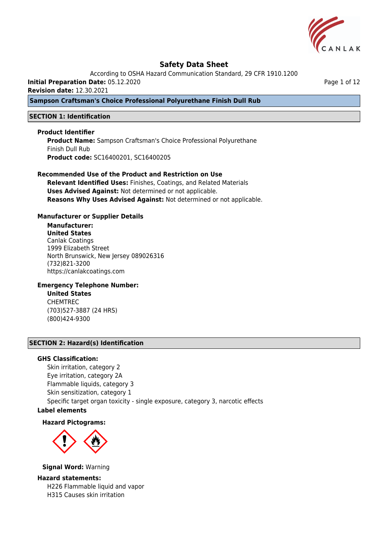

According to OSHA Hazard Communication Standard, 29 CFR 1910.1200

**Initial Preparation Date:** 05.12.2020

**Revision date:** 12.30.2021

**Sampson Craftsman's Choice Professional Polyurethane Finish Dull Rub**

# **SECTION 1: Identification**

### **Product Identifier**

**Product Name:** Sampson Craftsman's Choice Professional Polyurethane Finish Dull Rub **Product code:** SC16400201, SC16400205

# **Recommended Use of the Product and Restriction on Use**

**Relevant Identified Uses:** Finishes, Coatings, and Related Materials **Uses Advised Against:** Not determined or not applicable. **Reasons Why Uses Advised Against:** Not determined or not applicable.

### **Manufacturer or Supplier Details**

# **Manufacturer:**

**United States** Canlak Coatings 1999 Elizabeth Street North Brunswick, New Jersey 089026316 (732)821-3200 https://canlakcoatings.com

# **Emergency Telephone Number:**

**United States** CHEMTREC (703)527-3887 (24 HRS) (800)424-9300

# **SECTION 2: Hazard(s) Identification**

### **GHS Classification:**

Skin irritation, category 2 Eye irritation, category 2A Flammable liquids, category 3 Skin sensitization, category 1 Specific target organ toxicity - single exposure, category 3, narcotic effects

# **Label elements**

### **Hazard Pictograms:**



**Signal Word:** Warning

### **Hazard statements:**

H226 Flammable liquid and vapor H315 Causes skin irritation

Page 1 of 12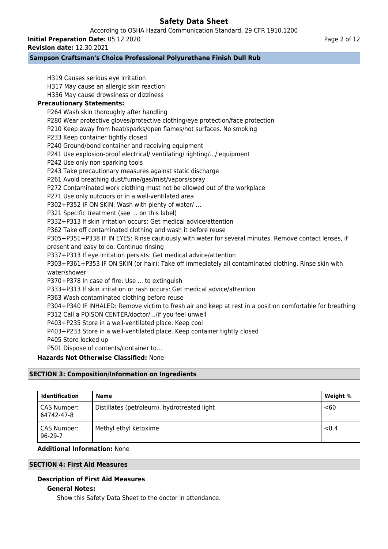According to OSHA Hazard Communication Standard, 29 CFR 1910.1200

**Initial Preparation Date:** 05.12.2020

**Revision date:** 12.30.2021

# **Sampson Craftsman's Choice Professional Polyurethane Finish Dull Rub**

H319 Causes serious eye irritation H317 May cause an allergic skin reaction H336 May cause drowsiness or dizziness **Precautionary Statements:** P264 Wash skin thoroughly after handling P280 Wear protective gloves/protective clothing/eye protection/face protection P210 Keep away from heat/sparks/open flames/hot surfaces. No smoking P233 Keep container tightly closed P240 Ground/bond container and receiving equipment P241 Use explosion-proof electrical/ ventilating/ lighting/.../ equipment P242 Use only non-sparking tools P243 Take precautionary measures against static discharge P261 Avoid breathing dust/fume/gas/mist/vapors/spray P272 Contaminated work clothing must not be allowed out of the workplace P271 Use only outdoors or in a well-ventilated area P302+P352 IF ON SKIN: Wash with plenty of water/ … P321 Specific treatment (see ... on this label) P332+P313 If skin irritation occurs: Get medical advice/attention P362 Take off contaminated clothing and wash it before reuse P305+P351+P338 IF IN EYES: Rinse cautiously with water for several minutes. Remove contact lenses, if present and easy to do. Continue rinsing P337+P313 If eye irritation persists: Get medical advice/attention P303+P361+P353 IF ON SKIN (or hair): Take off immediately all contaminated clothing. Rinse skin with water/shower P370+P378 In case of fire: Use ... to extinguish P333+P313 If skin irritation or rash occurs: Get medical advice/attention P363 Wash contaminated clothing before reuse P304+P340 IF INHALED: Remove victim to fresh air and keep at rest in a position comfortable for breathing P312 Call a POISON CENTER/doctor/.../if you feel unwell P403+P235 Store in a well-ventilated place. Keep cool P403+P233 Store in a well-ventilated place. Keep container tightly closed P405 Store locked up P501 Dispose of contents/container to… **Hazards Not Otherwise Classified:** None

# **SECTION 3: Composition/Information on Ingredients**

| <b>Identification</b>        | Name                                        | Weight % |
|------------------------------|---------------------------------------------|----------|
| CAS Number:<br>64742-47-8    | Distillates (petroleum), hydrotreated light | <60      |
| CAS Number:<br>$96 - 29 - 7$ | Methyl ethyl ketoxime                       | < 0.4    |

# **Additional Information:** None

# **SECTION 4: First Aid Measures**

# **Description of First Aid Measures**

# **General Notes:**

Show this Safety Data Sheet to the doctor in attendance.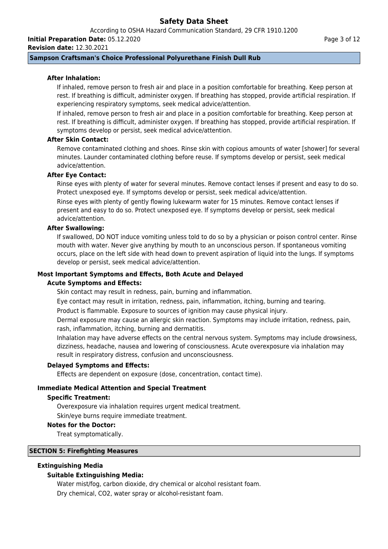According to OSHA Hazard Communication Standard, 29 CFR 1910.1200

**Initial Preparation Date:** 05.12.2020 **Revision date:** 12.30.2021

# **Sampson Craftsman's Choice Professional Polyurethane Finish Dull Rub**

# **After Inhalation:**

If inhaled, remove person to fresh air and place in a position comfortable for breathing. Keep person at rest. If breathing is difficult, administer oxygen. If breathing has stopped, provide artificial respiration. If experiencing respiratory symptoms, seek medical advice/attention.

If inhaled, remove person to fresh air and place in a position comfortable for breathing. Keep person at rest. If breathing is difficult, administer oxygen. If breathing has stopped, provide artificial respiration. If symptoms develop or persist, seek medical advice/attention.

# **After Skin Contact:**

Remove contaminated clothing and shoes. Rinse skin with copious amounts of water [shower] for several minutes. Launder contaminated clothing before reuse. If symptoms develop or persist, seek medical advice/attention.

# **After Eye Contact:**

Rinse eyes with plenty of water for several minutes. Remove contact lenses if present and easy to do so. Protect unexposed eye. If symptoms develop or persist, seek medical advice/attention. Rinse eyes with plenty of gently flowing lukewarm water for 15 minutes. Remove contact lenses if

present and easy to do so. Protect unexposed eye. If symptoms develop or persist, seek medical advice/attention.

### **After Swallowing:**

If swallowed, DO NOT induce vomiting unless told to do so by a physician or poison control center. Rinse mouth with water. Never give anything by mouth to an unconscious person. If spontaneous vomiting occurs, place on the left side with head down to prevent aspiration of liquid into the lungs. If symptoms develop or persist, seek medical advice/attention.

### **Most Important Symptoms and Effects, Both Acute and Delayed**

### **Acute Symptoms and Effects:**

Skin contact may result in redness, pain, burning and inflammation.

Eye contact may result in irritation, redness, pain, inflammation, itching, burning and tearing.

Product is flammable. Exposure to sources of ignition may cause physical injury.

Dermal exposure may cause an allergic skin reaction. Symptoms may include irritation, redness, pain, rash, inflammation, itching, burning and dermatitis.

Inhalation may have adverse effects on the central nervous system. Symptoms may include drowsiness, dizziness, headache, nausea and lowering of consciousness. Acute overexposure via inhalation may result in respiratory distress, confusion and unconsciousness.

### **Delayed Symptoms and Effects:**

Effects are dependent on exposure (dose, concentration, contact time).

# **Immediate Medical Attention and Special Treatment**

### **Specific Treatment:**

Overexposure via inhalation requires urgent medical treatment.

Skin/eye burns require immediate treatment.

### **Notes for the Doctor:**

Treat symptomatically.

### **SECTION 5: Firefighting Measures**

# **Extinguishing Media**

# **Suitable Extinguishing Media:**

Water mist/fog, carbon dioxide, dry chemical or alcohol resistant foam. Dry chemical, CO2, water spray or alcohol-resistant foam.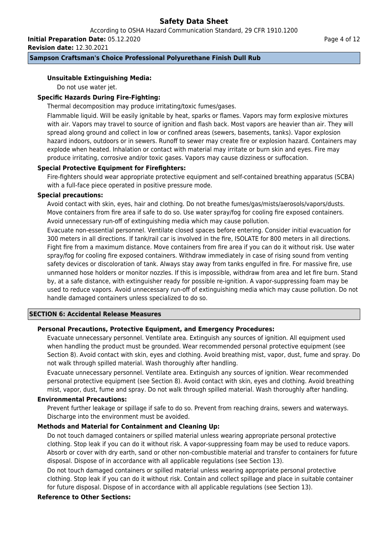According to OSHA Hazard Communication Standard, 29 CFR 1910.1200 **Initial Preparation Date:** 05.12.2020

**Revision date:** 12.30.2021

# **Sampson Craftsman's Choice Professional Polyurethane Finish Dull Rub**

# **Unsuitable Extinguishing Media:**

Do not use water jet.

# **Specific Hazards During Fire-Fighting:**

Thermal decomposition may produce irritating/toxic fumes/gases.

Flammable liquid. Will be easily ignitable by heat, sparks or flames. Vapors may form explosive mixtures with air. Vapors may travel to source of ignition and flash back. Most vapors are heavier than air. They will spread along ground and collect in low or confined areas (sewers, basements, tanks). Vapor explosion hazard indoors, outdoors or in sewers. Runoff to sewer may create fire or explosion hazard. Containers may explode when heated. Inhalation or contact with material may irritate or burn skin and eyes. Fire may produce irritating, corrosive and/or toxic gases. Vapors may cause dizziness or suffocation.

# **Special Protective Equipment for Firefighters:**

Fire-fighters should wear appropriate protective equipment and self-contained breathing apparatus (SCBA) with a full-face piece operated in positive pressure mode.

# **Special precautions:**

Avoid contact with skin, eyes, hair and clothing. Do not breathe fumes/gas/mists/aerosols/vapors/dusts. Move containers from fire area if safe to do so. Use water spray/fog for cooling fire exposed containers. Avoid unnecessary run-off of extinguishing media which may cause pollution.

Evacuate non-essential personnel. Ventilate closed spaces before entering. Consider initial evacuation for 300 meters in all directions. If tank/rail car is involved in the fire, ISOLATE for 800 meters in all directions. Fight fire from a maximum distance. Move containers from fire area if you can do it without risk. Use water spray/fog for cooling fire exposed containers. Withdraw immediately in case of rising sound from venting safety devices or discoloration of tank. Always stay away from tanks engulfed in fire. For massive fire, use unmanned hose holders or monitor nozzles. If this is impossible, withdraw from area and let fire burn. Stand by, at a safe distance, with extinguisher ready for possible re-ignition. A vapor-suppressing foam may be used to reduce vapors. Avoid unnecessary run-off of extinguishing media which may cause pollution. Do not handle damaged containers unless specialized to do so.

# **SECTION 6: Accidental Release Measures**

# **Personal Precautions, Protective Equipment, and Emergency Procedures:**

Evacuate unnecessary personnel. Ventilate area. Extinguish any sources of ignition. All equipment used when handling the product must be grounded. Wear recommended personal protective equipment (see Section 8). Avoid contact with skin, eyes and clothing. Avoid breathing mist, vapor, dust, fume and spray. Do not walk through spilled material. Wash thoroughly after handling.

Evacuate unnecessary personnel. Ventilate area. Extinguish any sources of ignition. Wear recommended personal protective equipment (see Section 8). Avoid contact with skin, eyes and clothing. Avoid breathing mist, vapor, dust, fume and spray. Do not walk through spilled material. Wash thoroughly after handling.

# **Environmental Precautions:**

Prevent further leakage or spillage if safe to do so. Prevent from reaching drains, sewers and waterways. Discharge into the environment must be avoided.

# **Methods and Material for Containment and Cleaning Up:**

Do not touch damaged containers or spilled material unless wearing appropriate personal protective clothing. Stop leak if you can do it without risk. A vapor-suppressing foam may be used to reduce vapors. Absorb or cover with dry earth, sand or other non-combustible material and transfer to containers for future disposal. Dispose of in accordance with all applicable regulations (see Section 13).

Do not touch damaged containers or spilled material unless wearing appropriate personal protective clothing. Stop leak if you can do it without risk. Contain and collect spillage and place in suitable container for future disposal. Dispose of in accordance with all applicable regulations (see Section 13).

# **Reference to Other Sections:**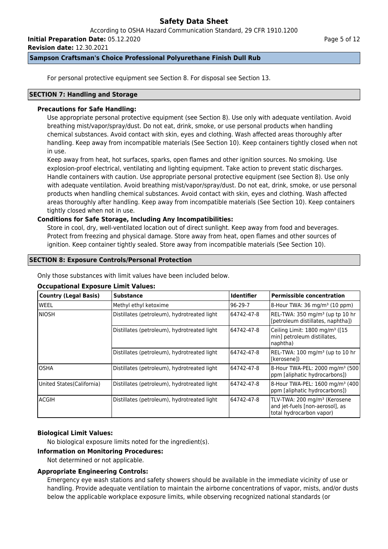According to OSHA Hazard Communication Standard, 29 CFR 1910.1200

**Initial Preparation Date:** 05.12.2020

**Revision date:** 12.30.2021

### **Sampson Craftsman's Choice Professional Polyurethane Finish Dull Rub**

For personal protective equipment see Section 8. For disposal see Section 13.

### **SECTION 7: Handling and Storage**

# **Precautions for Safe Handling:**

Use appropriate personal protective equipment (see Section 8). Use only with adequate ventilation. Avoid breathing mist/vapor/spray/dust. Do not eat, drink, smoke, or use personal products when handling chemical substances. Avoid contact with skin, eyes and clothing. Wash affected areas thoroughly after handling. Keep away from incompatible materials (See Section 10). Keep containers tightly closed when not in use.

Keep away from heat, hot surfaces, sparks, open flames and other ignition sources. No smoking. Use explosion-proof electrical, ventilating and lighting equipment. Take action to prevent static discharges. Handle containers with caution. Use appropriate personal protective equipment (see Section 8). Use only with adequate ventilation. Avoid breathing mist/vapor/spray/dust. Do not eat, drink, smoke, or use personal products when handling chemical substances. Avoid contact with skin, eyes and clothing. Wash affected areas thoroughly after handling. Keep away from incompatible materials (See Section 10). Keep containers tightly closed when not in use.

# **Conditions for Safe Storage, Including Any Incompatibilities:**

Store in cool, dry, well-ventilated location out of direct sunlight. Keep away from food and beverages. Protect from freezing and physical damage. Store away from heat, open flames and other sources of ignition. Keep container tightly sealed. Store away from incompatible materials (See Section 10).

### **SECTION 8: Exposure Controls/Personal Protection**

Only those substances with limit values have been included below.

# **Occupational Exposure Limit Values:**

| Country (Legal Basis)      | <b>Substance</b>                            | <b>Identifier</b> | <b>Permissible concentration</b>                                                                        |
|----------------------------|---------------------------------------------|-------------------|---------------------------------------------------------------------------------------------------------|
| lweel                      | Methyl ethyl ketoxime                       | $96-29-7$         | 8-Hour TWA: 36 mg/m <sup>3</sup> (10 ppm)                                                               |
| Iniosh                     | Distillates (petroleum), hydrotreated light | 64742-47-8        | REL-TWA: 350 mg/m <sup>3</sup> (up tp 10 hr<br>[petroleum distillates, naphtha])                        |
|                            | Distillates (petroleum), hydrotreated light | 64742-47-8        | Ceiling Limit: 1800 mg/m <sup>3</sup> ([15<br>min] petroleum distillates,<br>naphtha)                   |
|                            | Distillates (petroleum), hydrotreated light | 64742-47-8        | REL-TWA: 100 mg/m <sup>3</sup> (up to 10 hr<br>l[kerosene])                                             |
| IOSHA                      | Distillates (petroleum), hydrotreated light | 64742-47-8        | 8-Hour TWA-PEL: 2000 mg/m <sup>3</sup> (500)<br>ppm [aliphatic hydrocarbons])                           |
| United States (California) | Distillates (petroleum), hydrotreated light | 64742-47-8        | 8-Hour TWA-PEL: 1600 mg/m <sup>3</sup> (400<br>ppm [aliphatic hydrocarbons])                            |
| lacgih                     | Distillates (petroleum), hydrotreated light | 64742-47-8        | TLV-TWA: 200 mg/m <sup>3</sup> (Kerosene<br>and jet-fuels [non-aerosol], as<br>total hydrocarbon vapor) |

# **Biological Limit Values:**

No biological exposure limits noted for the ingredient(s).

### **Information on Monitoring Procedures:**

Not determined or not applicable.

# **Appropriate Engineering Controls:**

Emergency eye wash stations and safety showers should be available in the immediate vicinity of use or handling. Provide adequate ventilation to maintain the airborne concentrations of vapor, mists, and/or dusts below the applicable workplace exposure limits, while observing recognized national standards (or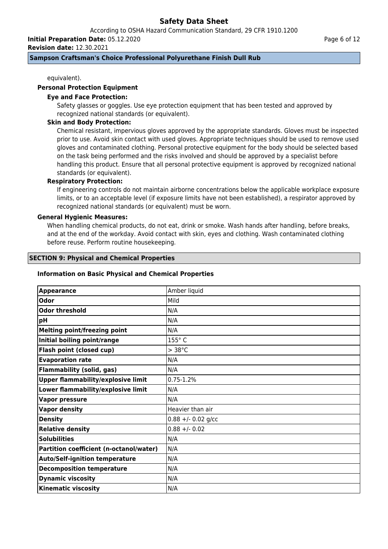According to OSHA Hazard Communication Standard, 29 CFR 1910.1200

**Initial Preparation Date:** 05.12.2020

**Revision date:** 12.30.2021

### **Sampson Craftsman's Choice Professional Polyurethane Finish Dull Rub**

equivalent).

### **Personal Protection Equipment**

### **Eye and Face Protection:**

Safety glasses or goggles. Use eye protection equipment that has been tested and approved by recognized national standards (or equivalent).

### **Skin and Body Protection:**

Chemical resistant, impervious gloves approved by the appropriate standards. Gloves must be inspected prior to use. Avoid skin contact with used gloves. Appropriate techniques should be used to remove used gloves and contaminated clothing. Personal protective equipment for the body should be selected based on the task being performed and the risks involved and should be approved by a specialist before handling this product. Ensure that all personal protective equipment is approved by recognized national standards (or equivalent).

# **Respiratory Protection:**

If engineering controls do not maintain airborne concentrations below the applicable workplace exposure limits, or to an acceptable level (if exposure limits have not been established), a respirator approved by recognized national standards (or equivalent) must be worn.

### **General Hygienic Measures:**

When handling chemical products, do not eat, drink or smoke. Wash hands after handling, before breaks, and at the end of the workday. Avoid contact with skin, eyes and clothing. Wash contaminated clothing before reuse. Perform routine housekeeping.

### **SECTION 9: Physical and Chemical Properties**

### **Information on Basic Physical and Chemical Properties**

| <b>Appearance</b>                         | Amber liquid        |
|-------------------------------------------|---------------------|
| Odor                                      | Mild                |
| <b>Odor threshold</b>                     | N/A                 |
| pH                                        | N/A                 |
| <b>Melting point/freezing point</b>       | N/A                 |
| Initial boiling point/range               | 155°C               |
| Flash point (closed cup)                  | $> 38^{\circ}$ C    |
| <b>Evaporation rate</b>                   | N/A                 |
| <b>Flammability (solid, gas)</b>          | N/A                 |
| <b>Upper flammability/explosive limit</b> | $0.75 - 1.2%$       |
| Lower flammability/explosive limit        | N/A                 |
| <b>Vapor pressure</b>                     | N/A                 |
| <b>Vapor density</b>                      | Heavier than air    |
| <b>Density</b>                            | $0.88 + -0.02$ g/cc |
| <b>Relative density</b>                   | $0.88 + - 0.02$     |
| <b>Solubilities</b>                       | N/A                 |
| Partition coefficient (n-octanol/water)   | N/A                 |
| <b>Auto/Self-ignition temperature</b>     | N/A                 |
| <b>Decomposition temperature</b>          | N/A                 |
| <b>Dynamic viscosity</b>                  | N/A                 |
| <b>Kinematic viscosity</b>                | N/A                 |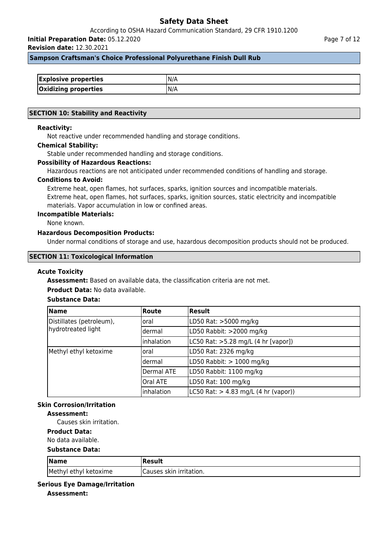According to OSHA Hazard Communication Standard, 29 CFR 1910.1200

**Initial Preparation Date:** 05.12.2020

**Revision date:** 12.30.2021

### **Sampson Craftsman's Choice Professional Polyurethane Finish Dull Rub**

| <b>Explosive properties</b> | IN/A |
|-----------------------------|------|
| <b>Oxidizing properties</b> | N/A  |

### **SECTION 10: Stability and Reactivity**

### **Reactivity:**

Not reactive under recommended handling and storage conditions.

### **Chemical Stability:**

Stable under recommended handling and storage conditions.

### **Possibility of Hazardous Reactions:**

Hazardous reactions are not anticipated under recommended conditions of handling and storage.

#### **Conditions to Avoid:**

Extreme heat, open flames, hot surfaces, sparks, ignition sources and incompatible materials. Extreme heat, open flames, hot surfaces, sparks, ignition sources, static electricity and incompatible materials. Vapor accumulation in low or confined areas.

#### **Incompatible Materials:**

None known.

# **Hazardous Decomposition Products:**

Under normal conditions of storage and use, hazardous decomposition products should not be produced.

### **SECTION 11: Toxicological Information**

#### **Acute Toxicity**

**Assessment:** Based on available data, the classification criteria are not met.

### **Product Data:** No data available.

# **Substance Data:**

| <b>Name</b>                                    | <b>Route</b>    | Result                                                   |
|------------------------------------------------|-----------------|----------------------------------------------------------|
| Distillates (petroleum),<br>hydrotreated light | loral           | LD50 Rat: >5000 mg/kg                                    |
|                                                | ldermal         | LD50 Rabbit: >2000 mg/kg                                 |
|                                                | inhalation      | LC50 Rat: >5.28 mg/L (4 hr [vapor])                      |
| Methyl ethyl ketoxime                          | loral           | LD50 Rat: 2326 mg/kg                                     |
|                                                | ldermal         | LD50 Rabbit: $> 1000$ mg/kg                              |
|                                                | Dermal ATE      | LD50 Rabbit: 1100 mg/kg                                  |
|                                                | <b>Oral ATE</b> | LD50 Rat: 100 mg/kg                                      |
|                                                | inhalation      | $ L C50 \text{ Rat:} > 4.83 \text{ mg/L}$ (4 hr (vapor)) |

# **Skin Corrosion/Irritation**

# **Assessment:**

Causes skin irritation.

# **Product Data:**

No data available.

### **Substance Data:**

| $\sqrt{\mathsf{Name}}$ | Result                   |
|------------------------|--------------------------|
| Methyl ethyl ketoxime  | ICauses skin irritation. |

### **Serious Eye Damage/Irritation**

**Assessment:**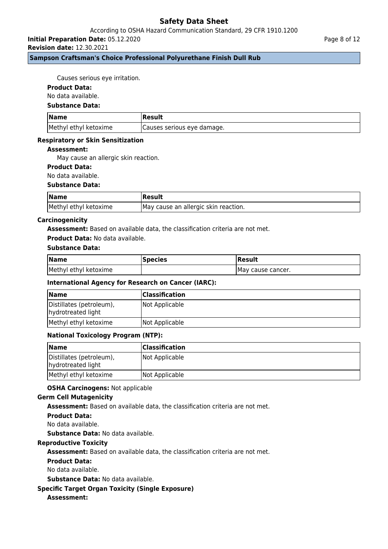According to OSHA Hazard Communication Standard, 29 CFR 1910.1200

**Initial Preparation Date:** 05.12.2020

**Revision date:** 12.30.2021

# **Sampson Craftsman's Choice Professional Polyurethane Finish Dull Rub**

Causes serious eye irritation.

### **Product Data:**

No data available.

### **Substance Data:**

| <b>Name</b>           | Result                      |
|-----------------------|-----------------------------|
| Methyl ethyl ketoxime | (Causes serious eye damage. |

### **Respiratory or Skin Sensitization**

### **Assessment:**

May cause an allergic skin reaction.

# **Product Data:**

No data available.

#### **Substance Data:**

| <b>Name</b>           | Result                                |
|-----------------------|---------------------------------------|
| Methyl ethyl ketoxime | IMay cause an allergic skin reaction. |

### **Carcinogenicity**

**Assessment:** Based on available data, the classification criteria are not met.

#### **Product Data:** No data available.

# **Substance Data:**

| <b>Name</b>           | <b>Species</b> | Result             |
|-----------------------|----------------|--------------------|
| Methyl ethyl ketoxime |                | IMay cause cancer. |

# **International Agency for Research on Cancer (IARC):**

| <b>Name</b>                                    | <b>Classification</b> |
|------------------------------------------------|-----------------------|
| Distillates (petroleum),<br>hydrotreated light | Not Applicable        |
| Methyl ethyl ketoxime                          | Not Applicable        |

# **National Toxicology Program (NTP):**

| <b>Name</b>                                    | <b>Classification</b> |
|------------------------------------------------|-----------------------|
| Distillates (petroleum),<br>hydrotreated light | Not Applicable        |
| Methyl ethyl ketoxime                          | Not Applicable        |

### **OSHA Carcinogens:** Not applicable

### **Germ Cell Mutagenicity**

**Assessment:** Based on available data, the classification criteria are not met.

### **Product Data:**

No data available.

**Substance Data:** No data available.

# **Reproductive Toxicity**

**Assessment:** Based on available data, the classification criteria are not met.

### **Product Data:**

No data available.

**Substance Data:** No data available.

# **Specific Target Organ Toxicity (Single Exposure)**

# **Assessment:**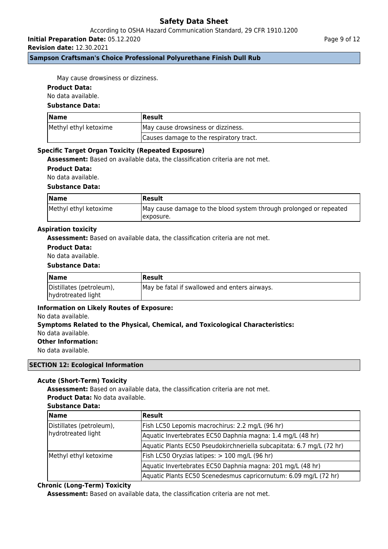According to OSHA Hazard Communication Standard, 29 CFR 1910.1200

**Initial Preparation Date:** 05.12.2020

**Revision date:** 12.30.2021

**Sampson Craftsman's Choice Professional Polyurethane Finish Dull Rub**

May cause drowsiness or dizziness.

# **Product Data:**

No data available.

### **Substance Data:**

| <b>Name</b>           | Result                                  |
|-----------------------|-----------------------------------------|
| Methyl ethyl ketoxime | May cause drowsiness or dizziness.      |
|                       | Causes damage to the respiratory tract. |

### **Specific Target Organ Toxicity (Repeated Exposure)**

**Assessment:** Based on available data, the classification criteria are not met.

**Product Data:**

No data available.

### **Substance Data:**

| <b>Name</b>           | Result                                                                           |
|-----------------------|----------------------------------------------------------------------------------|
| Methyl ethyl ketoxime | May cause damage to the blood system through prolonged or repeated<br>Texposure. |

### **Aspiration toxicity**

**Assessment:** Based on available data, the classification criteria are not met.

# **Product Data:**

No data available.

### **Substance Data:**

| <b>Name</b>              | <b> Result</b>                                |
|--------------------------|-----------------------------------------------|
| Distillates (petroleum), | May be fatal if swallowed and enters airways. |
| hydrotreated light       |                                               |

# **Information on Likely Routes of Exposure:**

### No data available.

# **Symptoms Related to the Physical, Chemical, and Toxicological Characteristics:** No data available.

**Other Information:**

No data available.

### **SECTION 12: Ecological Information**

# **Acute (Short-Term) Toxicity**

**Assessment:** Based on available data, the classification criteria are not met. **Product Data:** No data available.

### **Substance Data:**

| <b>Name</b>                                    | <b>Result</b>                                                         |  |  |  |
|------------------------------------------------|-----------------------------------------------------------------------|--|--|--|
| Distillates (petroleum),<br>hydrotreated light | Fish LC50 Lepomis macrochirus: 2.2 mg/L (96 hr)                       |  |  |  |
|                                                | Aquatic Invertebrates EC50 Daphnia magna: 1.4 mg/L (48 hr)            |  |  |  |
|                                                | Aquatic Plants EC50 Pseudokirchneriella subcapitata: 6.7 mg/L (72 hr) |  |  |  |
| Methyl ethyl ketoxime                          | Fish LC50 Oryzias latipes: > 100 mg/L (96 hr)                         |  |  |  |
|                                                | Aquatic Invertebrates EC50 Daphnia magna: 201 mg/L (48 hr)            |  |  |  |
|                                                | Aquatic Plants EC50 Scenedesmus capricornutum: 6.09 mg/L (72 hr)      |  |  |  |

# **Chronic (Long-Term) Toxicity**

**Assessment:** Based on available data, the classification criteria are not met.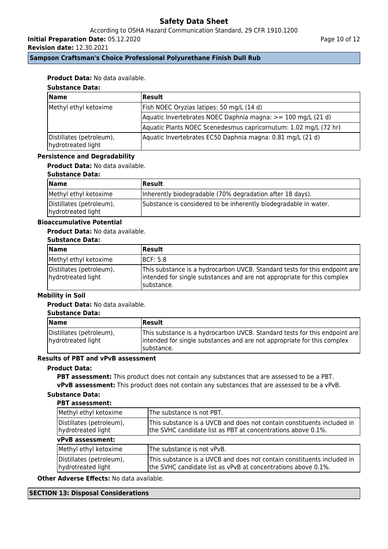According to OSHA Hazard Communication Standard, 29 CFR 1910.1200

**Initial Preparation Date:** 05.12.2020

**Revision date:** 12.30.2021

Page 10 of 12

# **Sampson Craftsman's Choice Professional Polyurethane Finish Dull Rub**

# **Product Data:** No data available.

# **Substance Data:**

| <b>Name</b>                                    | <b>Result</b>                                                    |
|------------------------------------------------|------------------------------------------------------------------|
| Methyl ethyl ketoxime                          | Fish NOEC Oryzias latipes: 50 mg/L (14 d)                        |
|                                                | Aquatic Invertebrates NOEC Daphnia magna: >= 100 mg/L (21 d)     |
|                                                | Aquatic Plants NOEC Scenedesmus capricornutum: 1.02 mg/L (72 hr) |
| Distillates (petroleum),<br>hydrotreated light | Aquatic Invertebrates EC50 Daphnia magna: 0.81 mg/L (21 d)       |

### **Persistence and Degradability**

### **Product Data:** No data available.

### **Substance Data:**

| <b>Name</b>                                    | Result                                                           |  |  |  |
|------------------------------------------------|------------------------------------------------------------------|--|--|--|
| Methyl ethyl ketoxime                          | Inherently biodegradable (70% degradation after 18 days).        |  |  |  |
| Distillates (petroleum),<br>hydrotreated light | Substance is considered to be inherently biodegradable in water. |  |  |  |

# **Bioaccumulative Potential**

# **Product Data:** No data available.

### **Substance Data:**

| Name                                           | <b>Result</b>                                                                                                                                                        |
|------------------------------------------------|----------------------------------------------------------------------------------------------------------------------------------------------------------------------|
| Methyl ethyl ketoxime                          | <b>IBCF: 5.8</b>                                                                                                                                                     |
| Distillates (petroleum),<br>hydrotreated light | This substance is a hydrocarbon UVCB. Standard tests for this endpoint are<br>intended for single substances and are not appropriate for this complex<br>Isubstance. |

# **Mobility in Soil**

# **Product Data:** No data available.

### **Substance Data:**

| <b>Name</b>                                    | <b>Result</b>                                                                                                                                                        |
|------------------------------------------------|----------------------------------------------------------------------------------------------------------------------------------------------------------------------|
| Distillates (petroleum),<br>hydrotreated light | This substance is a hydrocarbon UVCB. Standard tests for this endpoint are<br>intended for single substances and are not appropriate for this complex<br>Isubstance. |

# **Results of PBT and vPvB assessment**

# **Product Data:**

**PBT assessment:** This product does not contain any substances that are assessed to be a PBT. **vPvB assessment:** This product does not contain any substances that are assessed to be a vPvB.

# **Substance Data:**

### **PBT assessment:**

| Methyl ethyl ketoxime                          | The substance is not PBT.                                                                                                               |  |  |  |  |
|------------------------------------------------|-----------------------------------------------------------------------------------------------------------------------------------------|--|--|--|--|
| Distillates (petroleum),<br>hydrotreated light | This substance is a UVCB and does not contain constituents included in<br>the SVHC candidate list as PBT at concentrations above 0.1%.  |  |  |  |  |
| vPvB assessment:                               |                                                                                                                                         |  |  |  |  |
| Methyl ethyl ketoxime                          | The substance is not vPvB.                                                                                                              |  |  |  |  |
| Distillates (petroleum),<br>hydrotreated light | This substance is a UVCB and does not contain constituents included in<br>the SVHC candidate list as vPvB at concentrations above 0.1%. |  |  |  |  |

**Other Adverse Effects:** No data available.

# **SECTION 13: Disposal Considerations**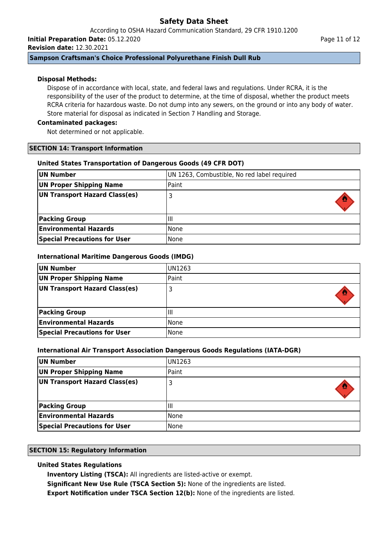According to OSHA Hazard Communication Standard, 29 CFR 1910.1200 **Initial Preparation Date:** 05.12.2020

**Revision date:** 12.30.2021

# **Sampson Craftsman's Choice Professional Polyurethane Finish Dull Rub**

# **Disposal Methods:**

Dispose of in accordance with local, state, and federal laws and regulations. Under RCRA, it is the responsibility of the user of the product to determine, at the time of disposal, whether the product meets RCRA criteria for hazardous waste. Do not dump into any sewers, on the ground or into any body of water. Store material for disposal as indicated in Section 7 Handling and Storage.

# **Contaminated packages:**

Not determined or not applicable.

# **SECTION 14: Transport Information**

# **United States Transportation of Dangerous Goods (49 CFR DOT)**

| UN Number                           | UN 1263, Combustible, No red label required |
|-------------------------------------|---------------------------------------------|
| <b>UN Proper Shipping Name</b>      | Paint                                       |
| UN Transport Hazard Class(es)       |                                             |
| <b>Packing Group</b>                | Ш                                           |
| <b>Environmental Hazards</b>        | <b>None</b>                                 |
| <b>Special Precautions for User</b> | None                                        |

# **International Maritime Dangerous Goods (IMDG)**

| UN Number                           | UN1263 |
|-------------------------------------|--------|
| UN Proper Shipping Name             | Paint  |
| UN Transport Hazard Class(es)       |        |
|                                     |        |
| <b>Packing Group</b>                | Ш      |
| <b>Environmental Hazards</b>        | l None |
| <b>Special Precautions for User</b> | l None |

# **International Air Transport Association Dangerous Goods Regulations (IATA-DGR)**

| UN Number                           | UN1263 |
|-------------------------------------|--------|
| UN Proper Shipping Name             | Paint  |
| UN Transport Hazard Class(es)       |        |
| <b>Packing Group</b>                | Ш      |
| <b>Environmental Hazards</b>        | None   |
| <b>Special Precautions for User</b> | None   |

# **SECTION 15: Regulatory Information**

# **United States Regulations**

**Inventory Listing (TSCA):** All ingredients are listed-active or exempt.

**Significant New Use Rule (TSCA Section 5):** None of the ingredients are listed.

**Export Notification under TSCA Section 12(b):** None of the ingredients are listed.